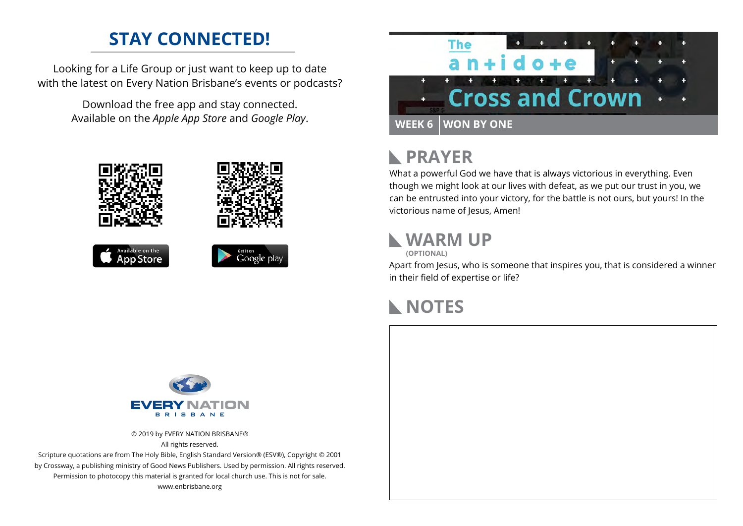### **STAY CONNECTED!**

Looking for a Life Group or just want to keep up to date with the latest on Every Nation Brisbane's events or podcasts?

> Download the free app and stay connected. Available on the *Apple App Store* and *Google Play*.









#### **PRAYER**  $\mathbb{R}$

What a powerful God we have that is always victorious in everything. Even though we might look at our lives with defeat, as we put our trust in you, we can be entrusted into your victory, for the battle is not ours, but yours! In the victorious name of Jesus, Amen!

#### **WARM UP**

**(OPTIONAL)**

Apart from Jesus, who is someone that inspires you, that is considered a winner in their field of expertise or life?

## **NOTES**



© 2019 by EVERY NATION BRISBANE® All rights reserved.

Scripture quotations are from The Holy Bible, English Standard Version® (ESV®), Copyright © 2001 by Crossway, a publishing ministry of Good News Publishers. Used by permission. All rights reserved. Permission to photocopy this material is granted for local church use. This is not for sale. www.enbrisbane.org